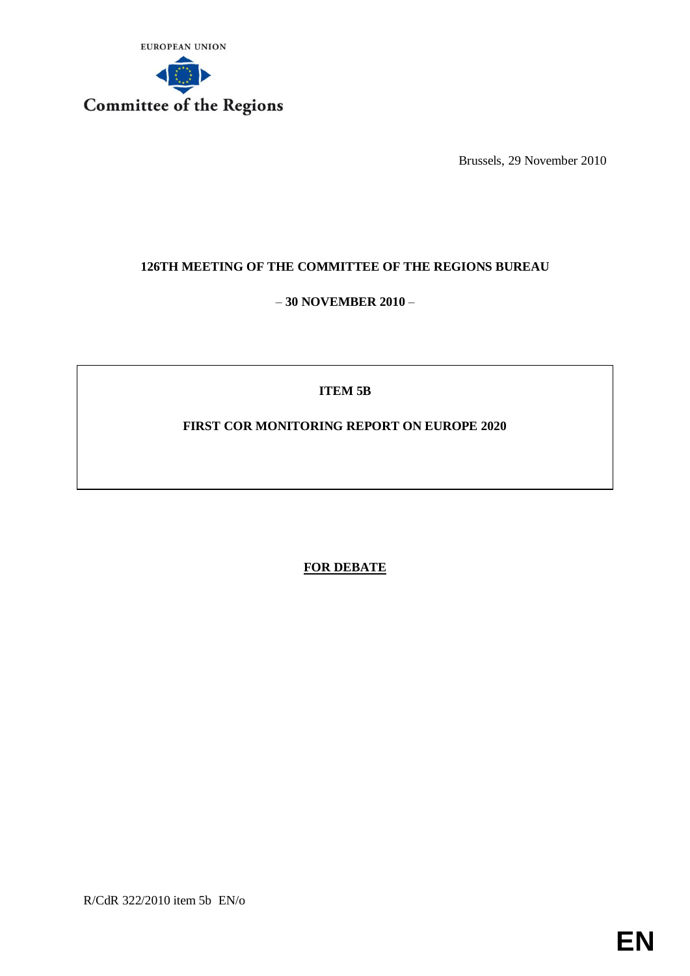

Brussels, 29 November 2010

## **126TH MEETING OF THE COMMITTEE OF THE REGIONS BUREAU**

– **30 NOVEMBER 2010** –

**ITEM 5B**

**FIRST COR MONITORING REPORT ON EUROPE 2020**

**FOR DEBATE**

R/CdR 322/2010 item 5b EN/o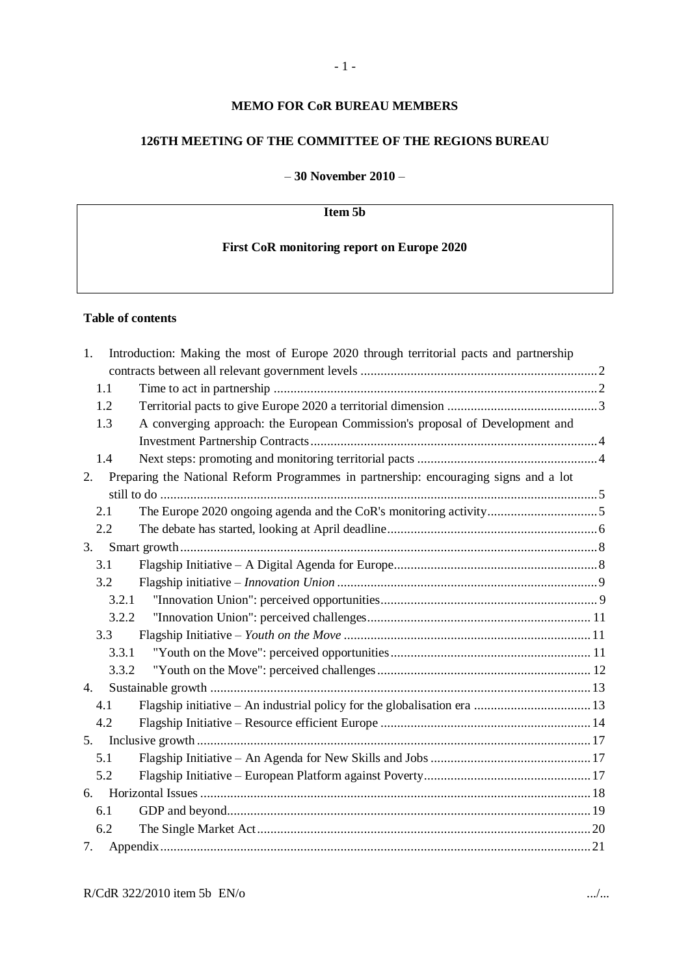#### **MEMO FOR CoR BUREAU MEMBERS**

#### **126TH MEETING OF THE COMMITTEE OF THE REGIONS BUREAU**

– **30 November 2010** –

**Item 5b**

## **First CoR monitoring report on Europe 2020**

#### **Table of contents**

| 1.    | Introduction: Making the most of Europe 2020 through territorial pacts and partnership |  |
|-------|----------------------------------------------------------------------------------------|--|
|       |                                                                                        |  |
| 1.1   |                                                                                        |  |
| 1.2   |                                                                                        |  |
| 1.3   | A converging approach: the European Commission's proposal of Development and           |  |
|       |                                                                                        |  |
| 1.4   |                                                                                        |  |
| 2.    | Preparing the National Reform Programmes in partnership: encouraging signs and a lot   |  |
|       |                                                                                        |  |
| 2.1   |                                                                                        |  |
| 2.2   |                                                                                        |  |
| 3.    |                                                                                        |  |
| 3.1   |                                                                                        |  |
| 3.2   |                                                                                        |  |
| 3.2.1 |                                                                                        |  |
| 3.2.2 |                                                                                        |  |
| 3.3   |                                                                                        |  |
| 3.3.1 |                                                                                        |  |
| 3.3.2 |                                                                                        |  |
| 4.    |                                                                                        |  |
| 4.1   |                                                                                        |  |
| 4.2   |                                                                                        |  |
| 5.    |                                                                                        |  |
| 5.1   |                                                                                        |  |
| 5.2   |                                                                                        |  |
| 6.    |                                                                                        |  |
| 6.1   |                                                                                        |  |
| 6.2   |                                                                                        |  |
| 7.    |                                                                                        |  |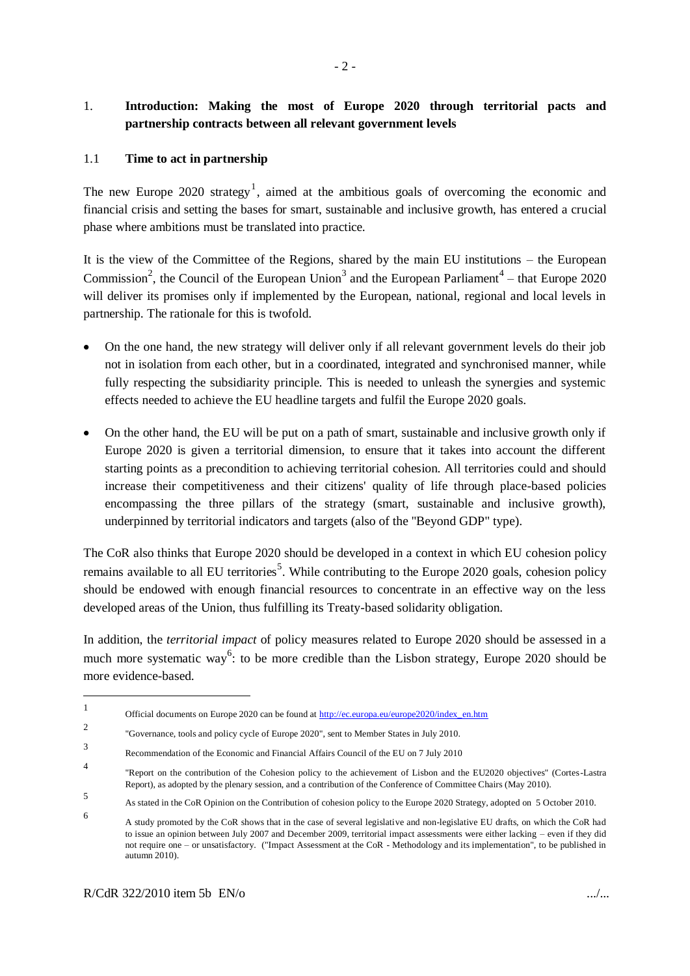## <span id="page-2-0"></span>1. **Introduction: Making the most of Europe 2020 through territorial pacts and partnership contracts between all relevant government levels**

## <span id="page-2-1"></span>1.1 **Time to act in partnership**

The new Europe 2020 strategy<sup>1</sup>, aimed at the ambitious goals of overcoming the economic and financial crisis and setting the bases for smart, sustainable and inclusive growth, has entered a crucial phase where ambitions must be translated into practice.

It is the view of the Committee of the Regions, shared by the main EU institutions – the European Commission<sup>2</sup>, the Council of the European Union<sup>3</sup> and the European Parliament<sup>4</sup> – that Europe 2020 will deliver its promises only if implemented by the European, national, regional and local levels in partnership. The rationale for this is twofold.

- On the one hand, the new strategy will deliver only if all relevant government levels do their job not in isolation from each other, but in a coordinated, integrated and synchronised manner, while fully respecting the subsidiarity principle. This is needed to unleash the synergies and systemic effects needed to achieve the EU headline targets and fulfil the Europe 2020 goals.
- On the other hand, the EU will be put on a path of smart, sustainable and inclusive growth only if Europe 2020 is given a territorial dimension, to ensure that it takes into account the different starting points as a precondition to achieving territorial cohesion. All territories could and should increase their competitiveness and their citizens' quality of life through place-based policies encompassing the three pillars of the strategy (smart, sustainable and inclusive growth), underpinned by territorial indicators and targets (also of the "Beyond GDP" type).

The CoR also thinks that Europe 2020 should be developed in a context in which EU cohesion policy remains available to all EU territories<sup>5</sup>. While contributing to the Europe 2020 goals, cohesion policy should be endowed with enough financial resources to concentrate in an effective way on the less developed areas of the Union, thus fulfilling its Treaty-based solidarity obligation.

In addition, the *territorial impact* of policy measures related to Europe 2020 should be assessed in a much more systematic way<sup>6</sup>: to be more credible than the Lisbon strategy, Europe 2020 should be more evidence-based.

<sup>1</sup> Official documents on Europe 2020 can be found a[t http://ec.europa.eu/europe2020/index\\_en.htm](http://ec.europa.eu/europe2020/index_en.htm)

<sup>2</sup> "Governance, tools and policy cycle of Europe 2020", sent to Member States in July 2010.

<sup>3</sup> Recommendation of the Economic and Financial Affairs Council of the EU on 7 July 2010

<sup>4</sup> "Report on the contribution of the Cohesion policy to the achievement of Lisbon and the EU2020 objectives" (Cortes-Lastra Report), as adopted by the plenary session, and a contribution of the Conference of Committee Chairs (May 2010).

<sup>5</sup> As stated in the CoR Opinion on the Contribution of cohesion policy to the Europe 2020 Strategy, adopted on 5 October 2010.

<sup>6</sup> A study promoted by the CoR shows that in the case of several legislative and non-legislative EU drafts, on which the CoR had to issue an opinion between July 2007 and December 2009, territorial impact assessments were either lacking – even if they did not require one – or unsatisfactory. ("Impact Assessment at the CoR - Methodology and its implementation", to be published in autumn 2010).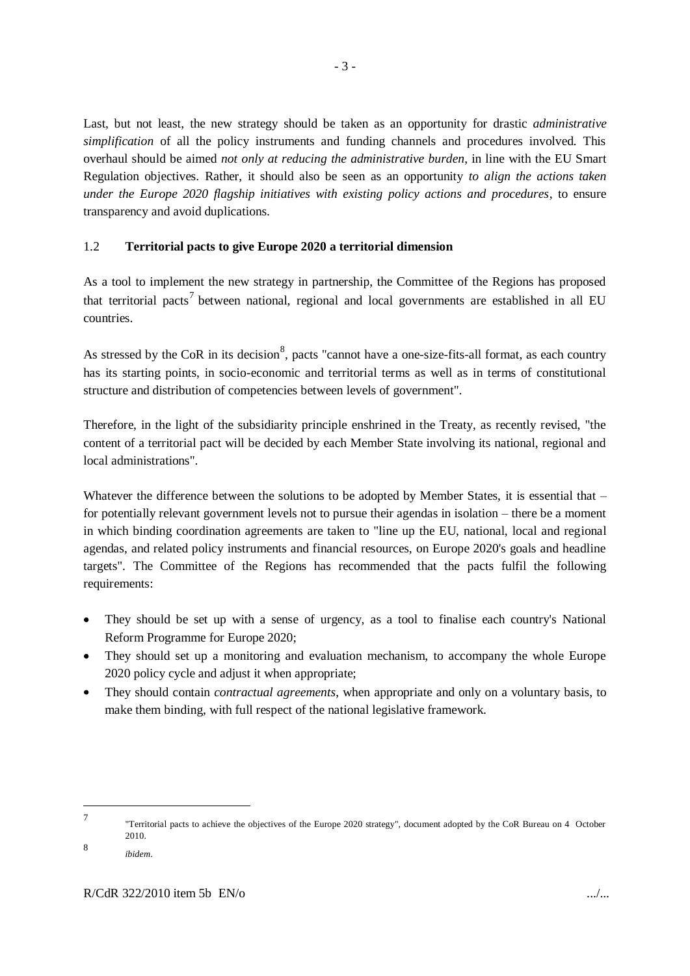Last, but not least, the new strategy should be taken as an opportunity for drastic *administrative simplification* of all the policy instruments and funding channels and procedures involved. This overhaul should be aimed *not only at reducing the administrative burden*, in line with the EU Smart Regulation objectives. Rather, it should also be seen as an opportunity *to align the actions taken under the Europe 2020 flagship initiatives with existing policy actions and procedures*, to ensure transparency and avoid duplications.

## <span id="page-3-0"></span>1.2 **Territorial pacts to give Europe 2020 a territorial dimension**

As a tool to implement the new strategy in partnership, the Committee of the Regions has proposed that territorial pacts<sup>7</sup> between national, regional and local governments are established in all EU countries.

As stressed by the CoR in its decision<sup>8</sup>, pacts "cannot have a one-size-fits-all format, as each country has its starting points, in socio-economic and territorial terms as well as in terms of constitutional structure and distribution of competencies between levels of government".

Therefore, in the light of the subsidiarity principle enshrined in the Treaty, as recently revised, "the content of a territorial pact will be decided by each Member State involving its national, regional and local administrations".

Whatever the difference between the solutions to be adopted by Member States, it is essential that – for potentially relevant government levels not to pursue their agendas in isolation – there be a moment in which binding coordination agreements are taken to "line up the EU, national, local and regional agendas, and related policy instruments and financial resources, on Europe 2020's goals and headline targets". The Committee of the Regions has recommended that the pacts fulfil the following requirements:

- They should be set up with a sense of urgency, as a tool to finalise each country's National Reform Programme for Europe 2020;
- They should set up a monitoring and evaluation mechanism, to accompany the whole Europe 2020 policy cycle and adjust it when appropriate;
- They should contain *contractual agreements*, when appropriate and only on a voluntary basis, to make them binding, with full respect of the national legislative framework.

<sup>7</sup> "Territorial pacts to achieve the objectives of the Europe 2020 strategy", document adopted by the CoR Bureau on 4 October 2010.

<sup>8</sup> *ibidem*.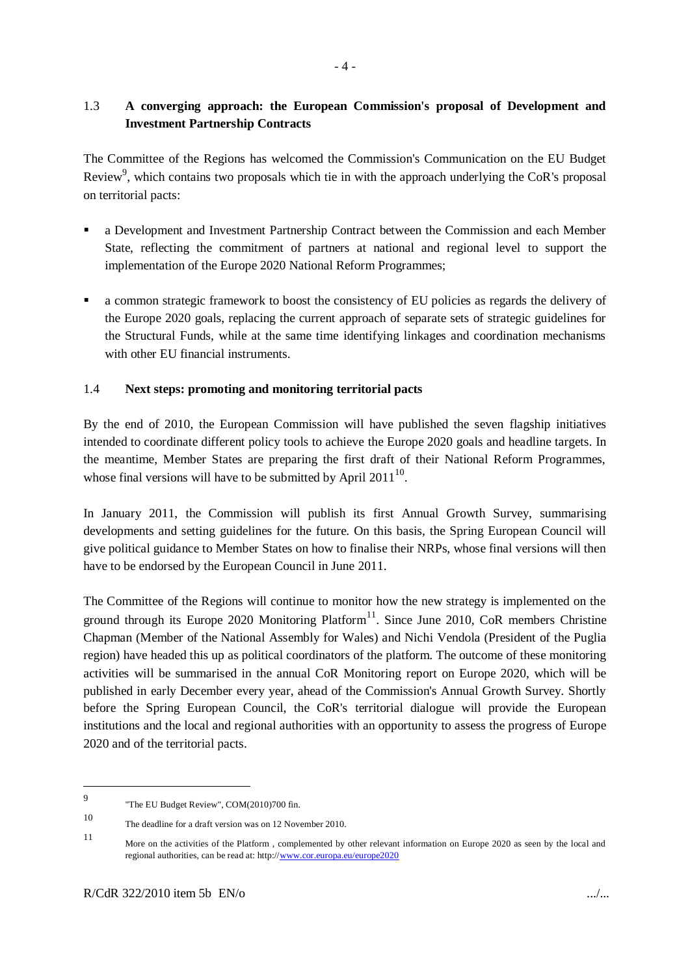## <span id="page-4-0"></span>1.3 **A converging approach: the European Commission's proposal of Development and Investment Partnership Contracts**

The Committee of the Regions has welcomed the Commission's Communication on the EU Budget Review<sup>9</sup>, which contains two proposals which tie in with the approach underlying the CoR's proposal on territorial pacts:

- a Development and Investment Partnership Contract between the Commission and each Member State, reflecting the commitment of partners at national and regional level to support the implementation of the Europe 2020 National Reform Programmes;
- a common strategic framework to boost the consistency of EU policies as regards the delivery of the Europe 2020 goals, replacing the current approach of separate sets of strategic guidelines for the Structural Funds, while at the same time identifying linkages and coordination mechanisms with other EU financial instruments.

## <span id="page-4-1"></span>1.4 **Next steps: promoting and monitoring territorial pacts**

By the end of 2010, the European Commission will have published the seven flagship initiatives intended to coordinate different policy tools to achieve the Europe 2020 goals and headline targets. In the meantime, Member States are preparing the first draft of their National Reform Programmes, whose final versions will have to be submitted by April  $2011^{10}$ .

In January 2011, the Commission will publish its first Annual Growth Survey, summarising developments and setting guidelines for the future. On this basis, the Spring European Council will give political guidance to Member States on how to finalise their NRPs, whose final versions will then have to be endorsed by the European Council in June 2011.

The Committee of the Regions will continue to monitor how the new strategy is implemented on the ground through its Europe 2020 Monitoring  $Platform<sup>11</sup>$ . Since June 2010, CoR members Christine Chapman (Member of the National Assembly for Wales) and Nichi Vendola (President of the Puglia region) have headed this up as political coordinators of the platform. The outcome of these monitoring activities will be summarised in the annual CoR Monitoring report on Europe 2020, which will be published in early December every year, ahead of the Commission's Annual Growth Survey. Shortly before the Spring European Council, the CoR's territorial dialogue will provide the European institutions and the local and regional authorities with an opportunity to assess the progress of Europe 2020 and of the territorial pacts.

<sup>9</sup> "The EU Budget Review", COM(2010)700 fin.

<sup>10</sup> The deadline for a draft version was on 12 November 2010.

<sup>11</sup> More on the activities of the Platform, complemented by other relevant information on Europe 2020 as seen by the local and regional authorities, can be read at: http:/[/www.cor.europa.eu/europe2020](http://www.cor.europa.eu/europe2020)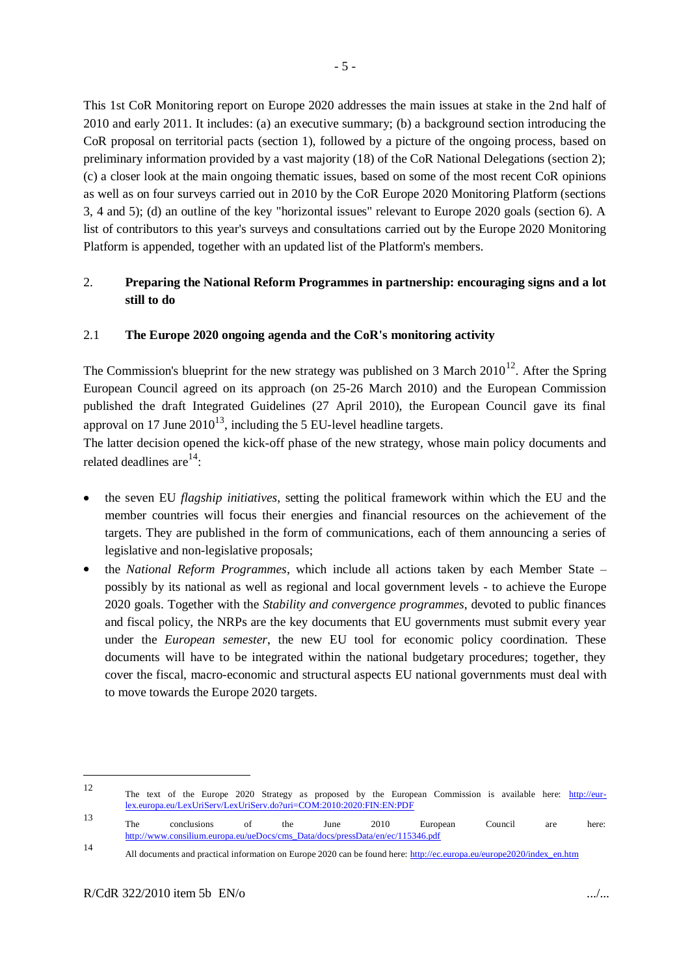This 1st CoR Monitoring report on Europe 2020 addresses the main issues at stake in the 2nd half of 2010 and early 2011. It includes: (a) an executive summary; (b) a background section introducing the CoR proposal on territorial pacts (section 1), followed by a picture of the ongoing process, based on preliminary information provided by a vast majority (18) of the CoR National Delegations (section 2); (c) a closer look at the main ongoing thematic issues, based on some of the most recent CoR opinions as well as on four surveys carried out in 2010 by the CoR Europe 2020 Monitoring Platform (sections 3, 4 and 5); (d) an outline of the key "horizontal issues" relevant to Europe 2020 goals (section 6). A list of contributors to this year's surveys and consultations carried out by the Europe 2020 Monitoring Platform is appended, together with an updated list of the Platform's members.

## <span id="page-5-0"></span>2. **Preparing the National Reform Programmes in partnership: encouraging signs and a lot still to do**

## <span id="page-5-1"></span>2.1 **The Europe 2020 ongoing agenda and the CoR's monitoring activity**

The Commission's blueprint for the new strategy was published on 3 March  $2010^{12}$ . After the Spring European Council agreed on its approach (on 25-26 March 2010) and the European Commission published the draft Integrated Guidelines (27 April 2010), the European Council gave its final approval on 17 June  $2010^{13}$ , including the 5 EU-level headline targets.

The latter decision opened the kick-off phase of the new strategy, whose main policy documents and related deadlines are  $14$ :

- the seven EU *flagship initiatives*, setting the political framework within which the EU and the member countries will focus their energies and financial resources on the achievement of the targets. They are published in the form of communications, each of them announcing a series of legislative and non-legislative proposals;
- the *National Reform Programmes*, which include all actions taken by each Member State possibly by its national as well as regional and local government levels - to achieve the Europe 2020 goals. Together with the *Stability and convergence programmes*, devoted to public finances and fiscal policy, the NRPs are the key documents that EU governments must submit every year under the *European semester*, the new EU tool for economic policy coordination. These documents will have to be integrated within the national budgetary procedures; together, they cover the fiscal, macro-economic and structural aspects EU national governments must deal with to move towards the Europe 2020 targets.

<sup>12</sup> The text of the Europe 2020 Strategy as proposed by the European Commission is available here: [http://eur](http://eur-lex.europa.eu/LexUriServ/LexUriServ.do?uri=COM:2010:2020:FIN:EN:PDF)[lex.europa.eu/LexUriServ/LexUriServ.do?uri=COM:2010:2020:FIN:EN:PDF](http://eur-lex.europa.eu/LexUriServ/LexUriServ.do?uri=COM:2010:2020:FIN:EN:PDF)

<sup>13</sup> The conclusions of the June 2010 European Council are here: [http://www.consilium.europa.eu/ueDocs/cms\\_Data/docs/pressData/en/ec/115346.pdf](http://www.consilium.europa.eu/ueDocs/cms_Data/docs/pressData/en/ec/115346.pdf)

<sup>14</sup> All documents and practical information on Europe 2020 can be found here: [http://ec.europa.eu/europe2020/index\\_en.htm](http://ec.europa.eu/europe2020/index_en.htm)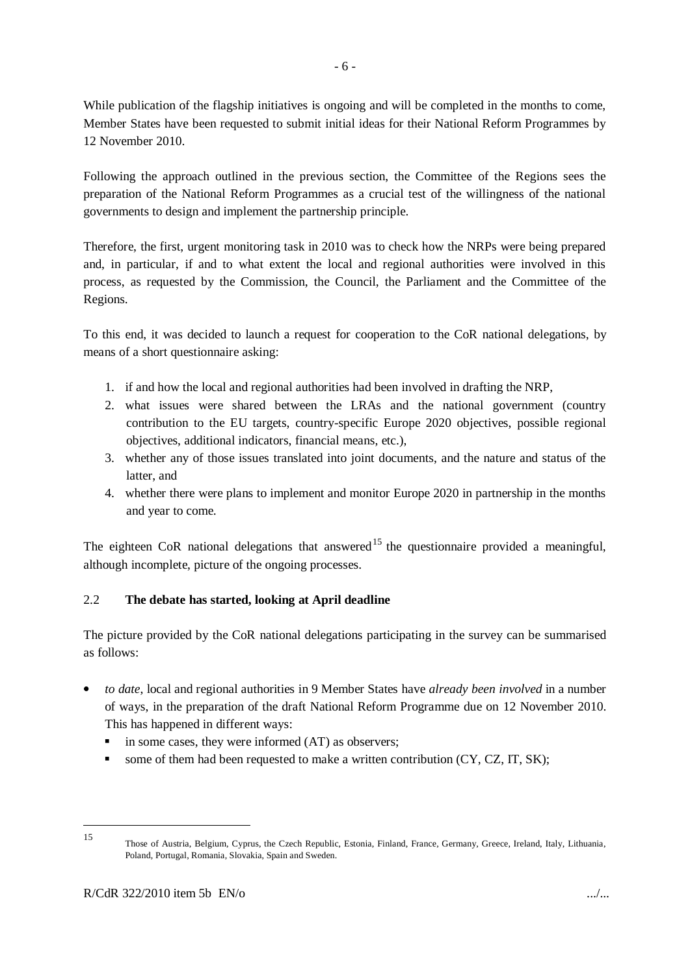While publication of the flagship initiatives is ongoing and will be completed in the months to come, Member States have been requested to submit initial ideas for their National Reform Programmes by 12 November 2010.

Following the approach outlined in the previous section, the Committee of the Regions sees the preparation of the National Reform Programmes as a crucial test of the willingness of the national governments to design and implement the partnership principle.

Therefore, the first, urgent monitoring task in 2010 was to check how the NRPs were being prepared and, in particular, if and to what extent the local and regional authorities were involved in this process, as requested by the Commission, the Council, the Parliament and the Committee of the Regions.

To this end, it was decided to launch a request for cooperation to the CoR national delegations, by means of a short questionnaire asking:

- 1. if and how the local and regional authorities had been involved in drafting the NRP,
- 2. what issues were shared between the LRAs and the national government (country contribution to the EU targets, country-specific Europe 2020 objectives, possible regional objectives, additional indicators, financial means, etc.),
- 3. whether any of those issues translated into joint documents, and the nature and status of the latter, and
- 4. whether there were plans to implement and monitor Europe 2020 in partnership in the months and year to come.

The eighteen CoR national delegations that answered<sup>15</sup> the questionnaire provided a meaningful, although incomplete, picture of the ongoing processes.

## <span id="page-6-0"></span>2.2 **The debate has started, looking at April deadline**

The picture provided by the CoR national delegations participating in the survey can be summarised as follows:

- *to date*, local and regional authorities in 9 Member States have *already been involved* in a number of ways, in the preparation of the draft National Reform Programme due on 12 November 2010. This has happened in different ways:
	- in some cases, they were informed (AT) as observers;
	- some of them had been requested to make a written contribution  $(CY, CZ, IT, SK)$ ;

Those of Austria, Belgium, Cyprus, the Czech Republic, Estonia, Finland, France, Germany, Greece, Ireland, Italy, Lithuania, Poland, Portugal, Romania, Slovakia, Spain and Sweden.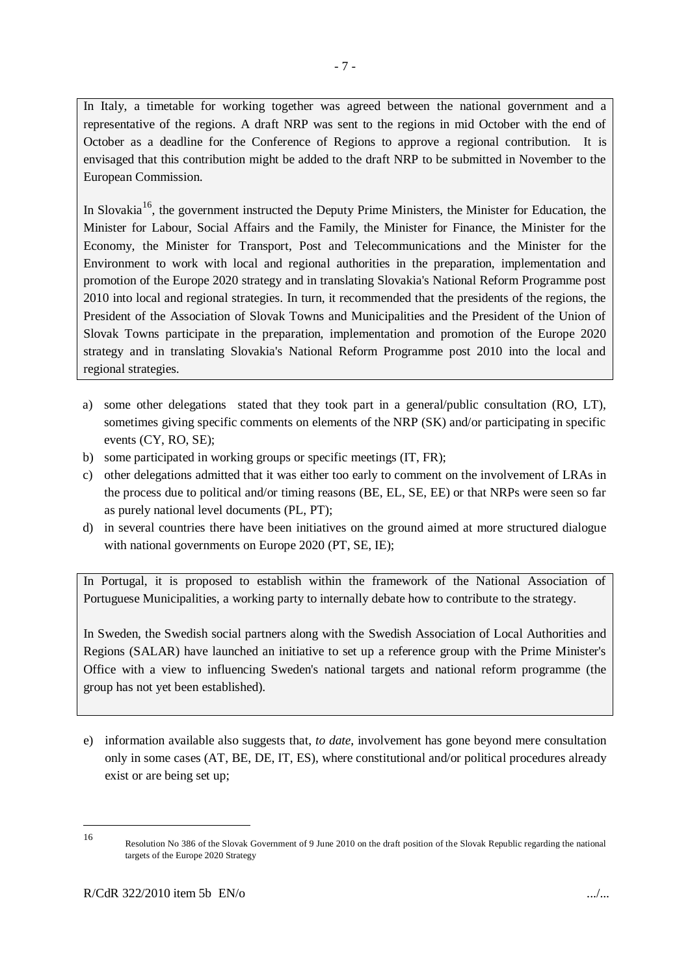In Italy, a timetable for working together was agreed between the national government and a representative of the regions. A draft NRP was sent to the regions in mid October with the end of October as a deadline for the Conference of Regions to approve a regional contribution. It is envisaged that this contribution might be added to the draft NRP to be submitted in November to the European Commission.

In Slovakia<sup>16</sup>, the government instructed the Deputy Prime Ministers, the Minister for Education, the Minister for Labour, Social Affairs and the Family, the Minister for Finance, the Minister for the Economy, the Minister for Transport, Post and Telecommunications and the Minister for the Environment to work with local and regional authorities in the preparation, implementation and promotion of the Europe 2020 strategy and in translating Slovakia's National Reform Programme post 2010 into local and regional strategies. In turn, it recommended that the presidents of the regions, the President of the Association of Slovak Towns and Municipalities and the President of the Union of Slovak Towns participate in the preparation, implementation and promotion of the Europe 2020 strategy and in translating Slovakia's National Reform Programme post 2010 into the local and regional strategies.

- a) some other delegations stated that they took part in a general/public consultation (RO, LT), sometimes giving specific comments on elements of the NRP (SK) and/or participating in specific events (CY, RO, SE);
- b) some participated in working groups or specific meetings (IT, FR);
- c) other delegations admitted that it was either too early to comment on the involvement of LRAs in the process due to political and/or timing reasons (BE, EL, SE, EE) or that NRPs were seen so far as purely national level documents (PL, PT);
- d) in several countries there have been initiatives on the ground aimed at more structured dialogue with national governments on Europe 2020 (PT, SE, IE);

In Portugal, it is proposed to establish within the framework of the National Association of Portuguese Municipalities, a working party to internally debate how to contribute to the strategy.

In Sweden, the Swedish social partners along with the Swedish Association of Local Authorities and Regions (SALAR) have launched an initiative to set up a reference group with the Prime Minister's Office with a view to influencing Sweden's national targets and national reform programme (the group has not yet been established).

e) information available also suggests that, *to date*, involvement has gone beyond mere consultation only in some cases (AT, BE, DE, IT, ES), where constitutional and/or political procedures already exist or are being set up;

<sup>16</sup> Resolution No 386 of the Slovak Government of 9 June 2010 on the draft position of the Slovak Republic regarding the national targets of the Europe 2020 Strategy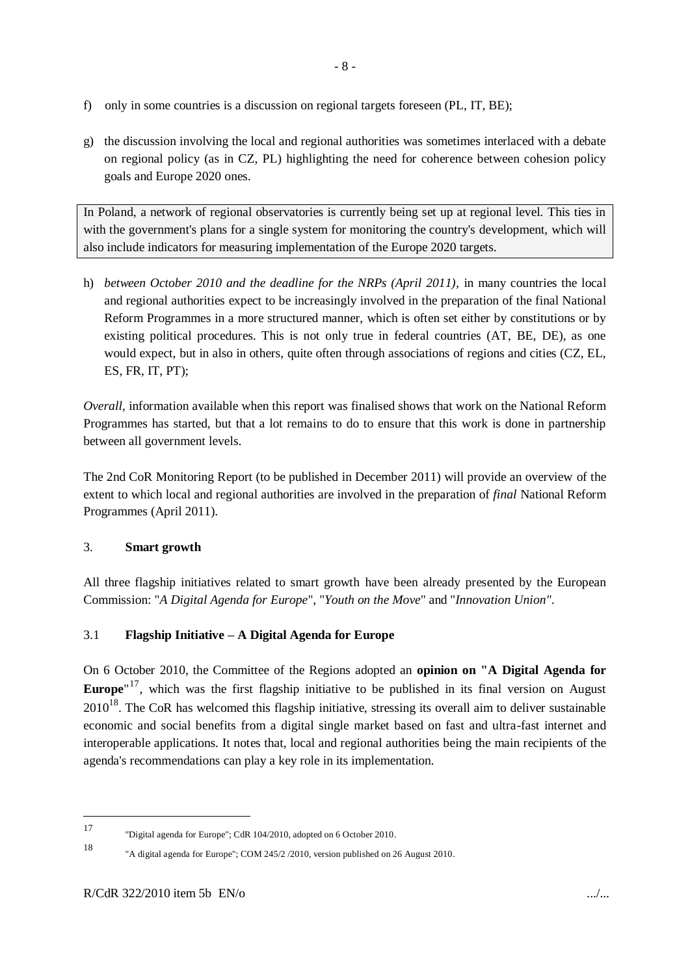- f) only in some countries is a discussion on regional targets foreseen (PL, IT, BE);
- g) the discussion involving the local and regional authorities was sometimes interlaced with a debate on regional policy (as in CZ, PL) highlighting the need for coherence between cohesion policy goals and Europe 2020 ones.

In Poland, a network of regional observatories is currently being set up at regional level. This ties in with the government's plans for a single system for monitoring the country's development, which will also include indicators for measuring implementation of the Europe 2020 targets.

h) *between October 2010 and the deadline for the NRPs (April 2011)*, in many countries the local and regional authorities expect to be increasingly involved in the preparation of the final National Reform Programmes in a more structured manner, which is often set either by constitutions or by existing political procedures. This is not only true in federal countries (AT, BE, DE), as one would expect, but in also in others, quite often through associations of regions and cities (CZ, EL, ES, FR, IT, PT);

*Overall*, information available when this report was finalised shows that work on the National Reform Programmes has started, but that a lot remains to do to ensure that this work is done in partnership between all government levels.

The 2nd CoR Monitoring Report (to be published in December 2011) will provide an overview of the extent to which local and regional authorities are involved in the preparation of *final* National Reform Programmes (April 2011).

## <span id="page-8-0"></span>3. **Smart growth**

All three flagship initiatives related to smart growth have been already presented by the European Commission: "*A Digital Agenda for Europe*", "*Youth on the Move*" and "*Innovation Union"*.

## <span id="page-8-1"></span>3.1 **Flagship Initiative – A Digital Agenda for Europe**

On 6 October 2010, the Committee of the Regions adopted an **opinion on "A Digital Agenda for**  Europe<sup>"17</sup>, which was the first flagship initiative to be published in its final version on August  $2010^{18}$ . The CoR has welcomed this flagship initiative, stressing its overall aim to deliver sustainable economic and social benefits from a digital single market based on fast and ultra-fast internet and interoperable applications. It notes that, local and regional authorities being the main recipients of the agenda's recommendations can play a key role in its implementation.

<sup>17</sup> "Digital agenda for Europe"; CdR 104/2010, adopted on 6 October 2010.

<sup>18</sup> "A digital agenda for Europe"; COM 245/2 /2010, version published on 26 August 2010.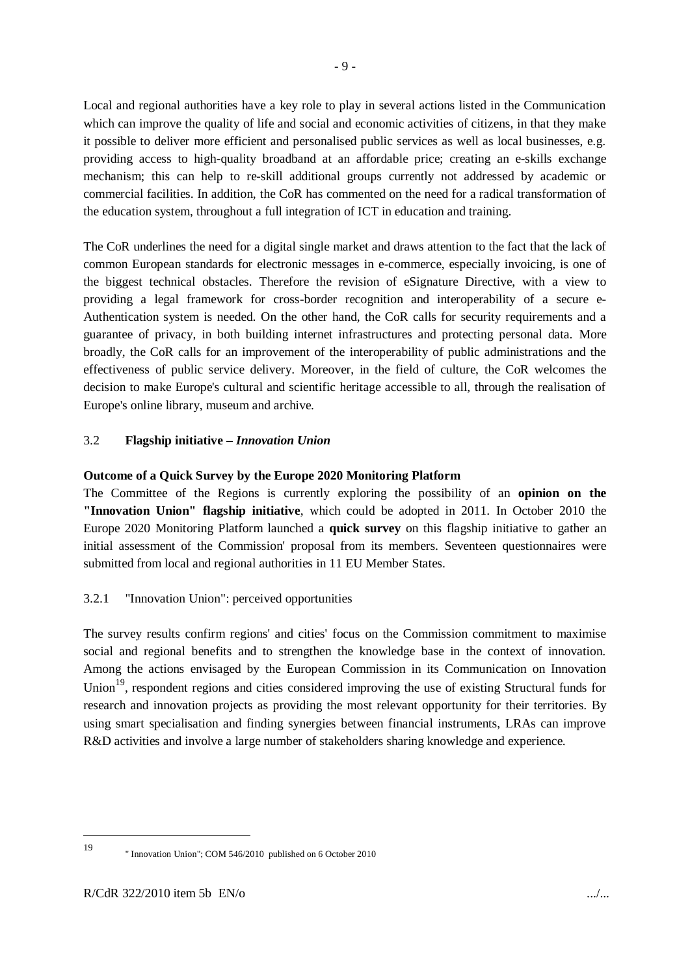Local and regional authorities have a key role to play in several actions listed in the Communication which can improve the quality of life and social and economic activities of citizens, in that they make it possible to deliver more efficient and personalised public services as well as local businesses, e.g. providing access to high-quality broadband at an affordable price; creating an e-skills exchange mechanism; this can help to re-skill additional groups currently not addressed by academic or commercial facilities. In addition, the CoR has commented on the need for a radical transformation of the education system, throughout a full integration of ICT in education and training.

The CoR underlines the need for a digital single market and draws attention to the fact that the lack of common European standards for electronic messages in e-commerce, especially invoicing, is one of the biggest technical obstacles. Therefore the revision of eSignature Directive, with a view to providing a legal framework for cross-border recognition and interoperability of a secure e-Authentication system is needed. On the other hand, the CoR calls for security requirements and a guarantee of privacy, in both building internet infrastructures and protecting personal data. More broadly, the CoR calls for an improvement of the interoperability of public administrations and the effectiveness of public service delivery. Moreover, in the field of culture, the CoR welcomes the decision to make Europe's cultural and scientific heritage accessible to all, through the realisation of Europe's online library, museum and archive.

## <span id="page-9-0"></span>3.2 **Flagship initiative** *– Innovation Union*

## **Outcome of a Quick Survey by the Europe 2020 Monitoring Platform**

The Committee of the Regions is currently exploring the possibility of an **opinion on the "Innovation Union" flagship initiative**, which could be adopted in 2011. In October 2010 the Europe 2020 Monitoring Platform launched a **quick survey** on this flagship initiative to gather an initial assessment of the Commission' proposal from its members. Seventeen questionnaires were submitted from local and regional authorities in 11 EU Member States.

## <span id="page-9-1"></span>3.2.1 "Innovation Union": perceived opportunities

The survey results confirm regions' and cities' focus on the Commission commitment to maximise social and regional benefits and to strengthen the knowledge base in the context of innovation. Among the actions envisaged by the European Commission in its Communication on Innovation Union<sup>19</sup>, respondent regions and cities considered improving the use of existing Structural funds for research and innovation projects as providing the most relevant opportunity for their territories. By using smart specialisation and finding synergies between financial instruments, LRAs can improve R&D activities and involve a large number of stakeholders sharing knowledge and experience.

<sup>1</sup> 19

<sup>&</sup>quot; Innovation Union"; COM 546/2010 published on 6 October 2010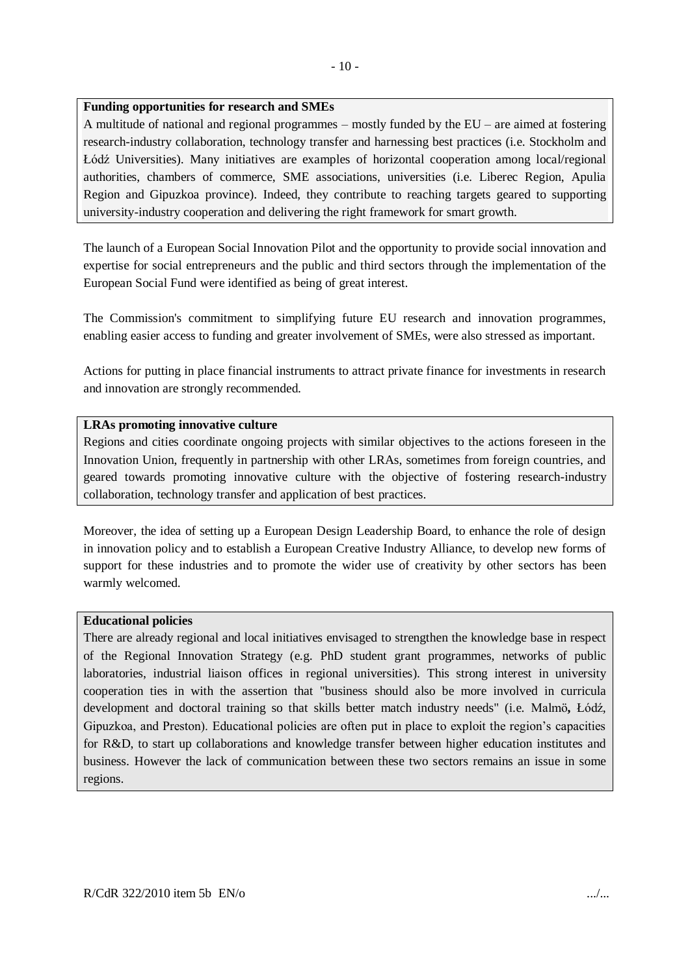#### **Funding opportunities for research and SMEs**

A multitude of national and regional programmes – mostly funded by the EU – are aimed at fostering research-industry collaboration, technology transfer and harnessing best practices (i.e. Stockholm and Łódź Universities). Many initiatives are examples of horizontal cooperation among local/regional authorities, chambers of commerce, SME associations, universities (i.e. Liberec Region, Apulia Region and Gipuzkoa province). Indeed, they contribute to reaching targets geared to supporting university-industry cooperation and delivering the right framework for smart growth.

The launch of a European Social Innovation Pilot and the opportunity to provide social innovation and expertise for social entrepreneurs and the public and third sectors through the implementation of the European Social Fund were identified as being of great interest.

The Commission's commitment to simplifying future EU research and innovation programmes, enabling easier access to funding and greater involvement of SMEs, were also stressed as important.

Actions for putting in place financial instruments to attract private finance for investments in research and innovation are strongly recommended.

### **LRAs promoting innovative culture**

Regions and cities coordinate ongoing projects with similar objectives to the actions foreseen in the Innovation Union, frequently in partnership with other LRAs, sometimes from foreign countries, and geared towards promoting innovative culture with the objective of fostering research-industry collaboration, technology transfer and application of best practices.

Moreover, the idea of setting up a European Design Leadership Board, to enhance the role of design in innovation policy and to establish a European Creative Industry Alliance, to develop new forms of support for these industries and to promote the wider use of creativity by other sectors has been warmly welcomed.

#### **Educational policies**

There are already regional and local initiatives envisaged to strengthen the knowledge base in respect of the Regional Innovation Strategy (e.g. PhD student grant programmes, networks of public laboratories, industrial liaison offices in regional universities). This strong interest in university cooperation ties in with the assertion that "business should also be more involved in curricula development and doctoral training so that skills better match industry needs" (i.e. Malmö**,** Łódź, Gipuzkoa, and Preston). Educational policies are often put in place to exploit the region's capacities for R&D, to start up collaborations and knowledge transfer between higher education institutes and business. However the lack of communication between these two sectors remains an issue in some regions.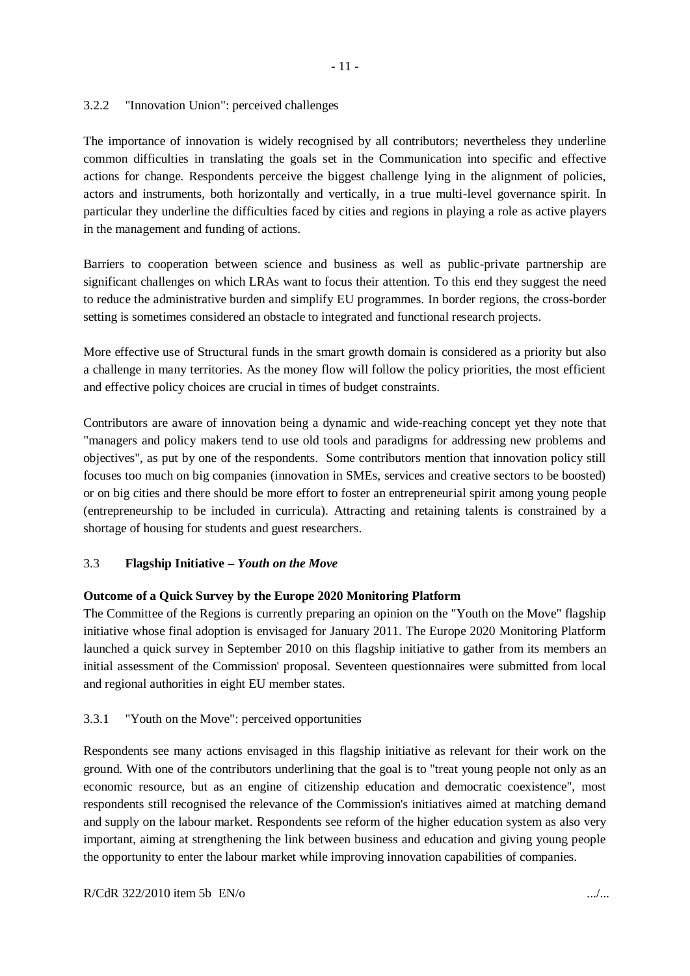#### <span id="page-11-0"></span>3.2.2 "Innovation Union": perceived challenges

The importance of innovation is widely recognised by all contributors; nevertheless they underline common difficulties in translating the goals set in the Communication into specific and effective actions for change. Respondents perceive the biggest challenge lying in the alignment of policies, actors and instruments, both horizontally and vertically, in a true multi-level governance spirit. In particular they underline the difficulties faced by cities and regions in playing a role as active players in the management and funding of actions.

Barriers to cooperation between science and business as well as public-private partnership are significant challenges on which LRAs want to focus their attention. To this end they suggest the need to reduce the administrative burden and simplify EU programmes. In border regions, the cross-border setting is sometimes considered an obstacle to integrated and functional research projects.

More effective use of Structural funds in the smart growth domain is considered as a priority but also a challenge in many territories. As the money flow will follow the policy priorities, the most efficient and effective policy choices are crucial in times of budget constraints.

Contributors are aware of innovation being a dynamic and wide-reaching concept yet they note that "managers and policy makers tend to use old tools and paradigms for addressing new problems and objectives", as put by one of the respondents. Some contributors mention that innovation policy still focuses too much on big companies (innovation in SMEs, services and creative sectors to be boosted) or on big cities and there should be more effort to foster an entrepreneurial spirit among young people (entrepreneurship to be included in curricula). Attracting and retaining talents is constrained by a shortage of housing for students and guest researchers.

## <span id="page-11-1"></span>3.3 **Flagship Initiative** *– Youth on the Move*

## **Outcome of a Quick Survey by the Europe 2020 Monitoring Platform**

The Committee of the Regions is currently preparing an opinion on the "Youth on the Move" flagship initiative whose final adoption is envisaged for January 2011. The Europe 2020 Monitoring Platform launched a quick survey in September 2010 on this flagship initiative to gather from its members an initial assessment of the Commission' proposal. Seventeen questionnaires were submitted from local and regional authorities in eight EU member states.

## <span id="page-11-2"></span>3.3.1 "Youth on the Move": perceived opportunities

Respondents see many actions envisaged in this flagship initiative as relevant for their work on the ground. With one of the contributors underlining that the goal is to "treat young people not only as an economic resource, but as an engine of citizenship education and democratic coexistence", most respondents still recognised the relevance of the Commission's initiatives aimed at matching demand and supply on the labour market. Respondents see reform of the higher education system as also very important, aiming at strengthening the link between business and education and giving young people the opportunity to enter the labour market while improving innovation capabilities of companies.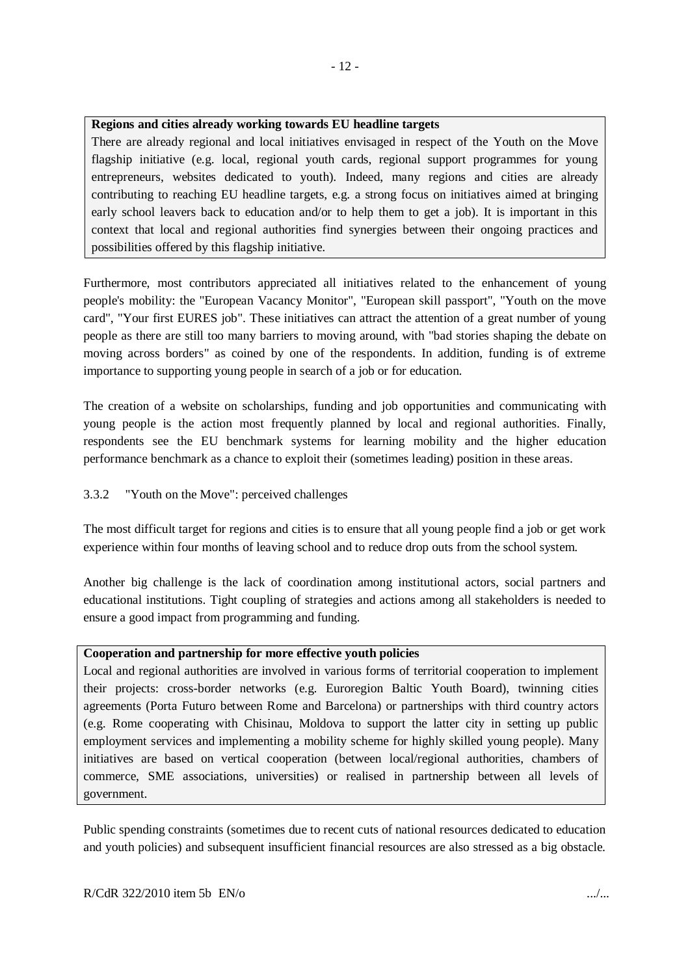#### **Regions and cities already working towards EU headline targets**

There are already regional and local initiatives envisaged in respect of the Youth on the Move flagship initiative (e.g. local, regional youth cards, regional support programmes for young entrepreneurs, websites dedicated to youth). Indeed, many regions and cities are already contributing to reaching EU headline targets, e.g. a strong focus on initiatives aimed at bringing early school leavers back to education and/or to help them to get a job). It is important in this context that local and regional authorities find synergies between their ongoing practices and possibilities offered by this flagship initiative.

Furthermore, most contributors appreciated all initiatives related to the enhancement of young people's mobility: the "European Vacancy Monitor", "European skill passport", "Youth on the move card", "Your first EURES job". These initiatives can attract the attention of a great number of young people as there are still too many barriers to moving around, with "bad stories shaping the debate on moving across borders" as coined by one of the respondents. In addition, funding is of extreme importance to supporting young people in search of a job or for education.

The creation of a website on scholarships, funding and job opportunities and communicating with young people is the action most frequently planned by local and regional authorities. Finally, respondents see the EU benchmark systems for learning mobility and the higher education performance benchmark as a chance to exploit their (sometimes leading) position in these areas.

## <span id="page-12-0"></span>3.3.2 "Youth on the Move": perceived challenges

The most difficult target for regions and cities is to ensure that all young people find a job or get work experience within four months of leaving school and to reduce drop outs from the school system.

Another big challenge is the lack of coordination among institutional actors, social partners and educational institutions. Tight coupling of strategies and actions among all stakeholders is needed to ensure a good impact from programming and funding.

#### **Cooperation and partnership for more effective youth policies**

Local and regional authorities are involved in various forms of territorial cooperation to implement their projects: cross-border networks (e.g. Euroregion Baltic Youth Board), twinning cities agreements (Porta Futuro between Rome and Barcelona) or partnerships with third country actors (e.g. Rome cooperating with Chisinau, Moldova to support the latter city in setting up public employment services and implementing a mobility scheme for highly skilled young people). Many initiatives are based on vertical cooperation (between local/regional authorities, chambers of commerce, SME associations, universities) or realised in partnership between all levels of government.

Public spending constraints (sometimes due to recent cuts of national resources dedicated to education and youth policies) and subsequent insufficient financial resources are also stressed as a big obstacle.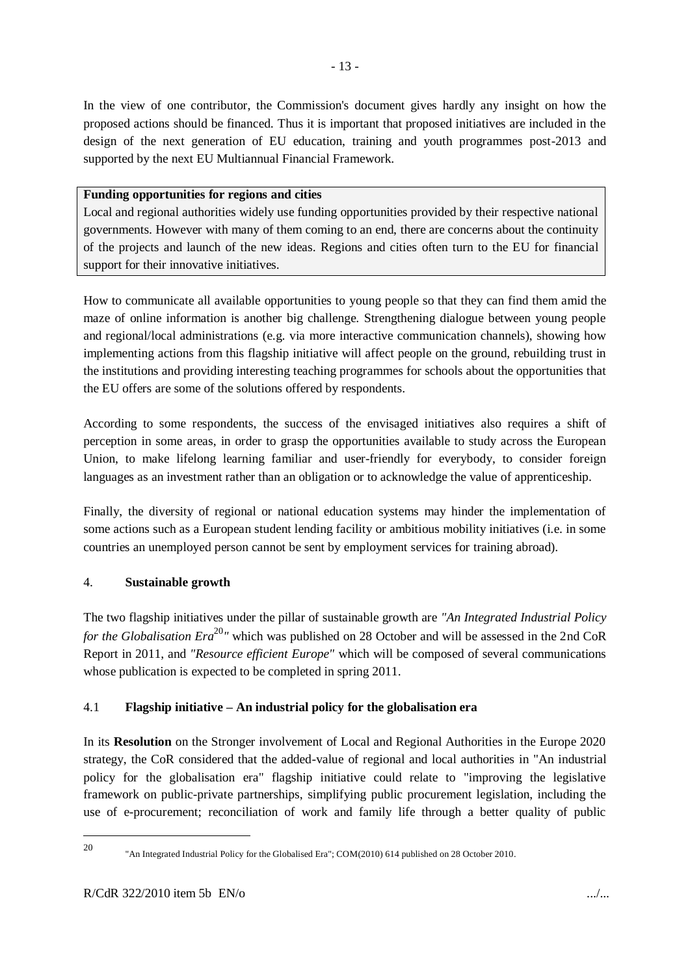In the view of one contributor, the Commission's document gives hardly any insight on how the proposed actions should be financed. Thus it is important that proposed initiatives are included in the design of the next generation of EU education, training and youth programmes post-2013 and supported by the next EU Multiannual Financial Framework.

#### **Funding opportunities for regions and cities**

Local and regional authorities widely use funding opportunities provided by their respective national governments. However with many of them coming to an end, there are concerns about the continuity of the projects and launch of the new ideas. Regions and cities often turn to the EU for financial support for their innovative initiatives.

How to communicate all available opportunities to young people so that they can find them amid the maze of online information is another big challenge. Strengthening dialogue between young people and regional/local administrations (e.g. via more interactive communication channels), showing how implementing actions from this flagship initiative will affect people on the ground, rebuilding trust in the institutions and providing interesting teaching programmes for schools about the opportunities that the EU offers are some of the solutions offered by respondents.

According to some respondents, the success of the envisaged initiatives also requires a shift of perception in some areas, in order to grasp the opportunities available to study across the European Union, to make lifelong learning familiar and user-friendly for everybody, to consider foreign languages as an investment rather than an obligation or to acknowledge the value of apprenticeship.

Finally, the diversity of regional or national education systems may hinder the implementation of some actions such as a European student lending facility or ambitious mobility initiatives (i.e. in some countries an unemployed person cannot be sent by employment services for training abroad).

#### <span id="page-13-0"></span>4. **Sustainable growth**

The two flagship initiatives under the pillar of sustainable growth are *"An Integrated Industrial Policy for the Globalisation Era*<sup>20</sup>" which was published on 28 October and will be assessed in the 2nd CoR Report in 2011, and *"Resource efficient Europe"* which will be composed of several communications whose publication is expected to be completed in spring 2011.

#### <span id="page-13-1"></span>4.1 **Flagship initiative – An industrial policy for the globalisation era**

In its **Resolution** on the Stronger involvement of Local and Regional Authorities in the Europe 2020 strategy, the CoR considered that the added-value of regional and local authorities in "An industrial policy for the globalisation era" flagship initiative could relate to "improving the legislative framework on public-private partnerships, simplifying public procurement legislation, including the use of e-procurement; reconciliation of work and family life through a better quality of public

<sup>1</sup> 20

<sup>&</sup>quot;An Integrated Industrial Policy for the Globalised Era"; COM(2010) 614 published on 28 October 2010.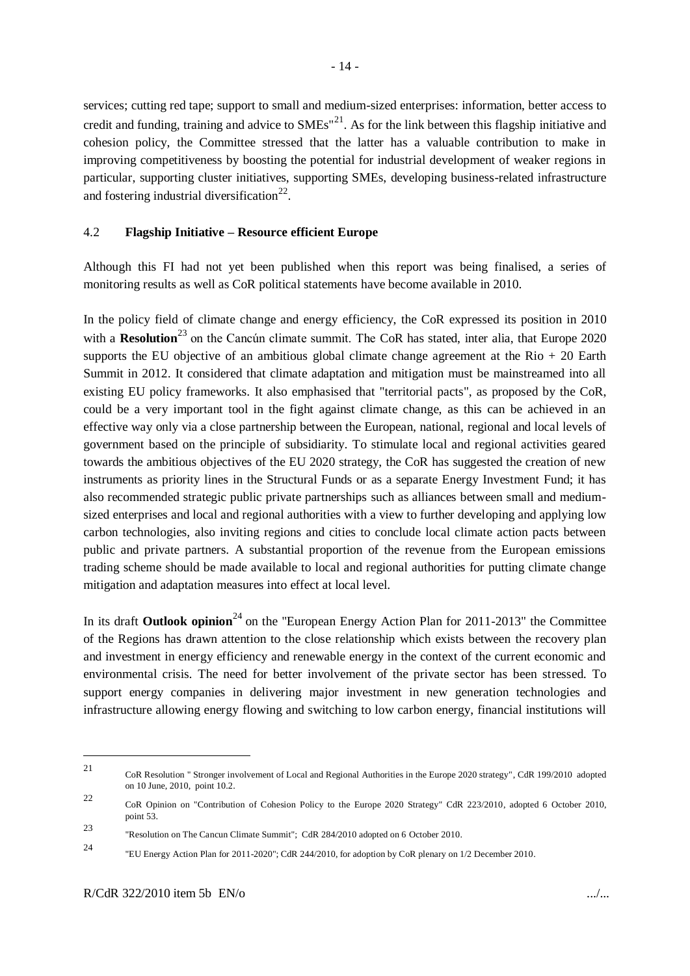services; cutting red tape; support to small and medium-sized enterprises: information, better access to credit and funding, training and advice to  $SMEs<sup>21</sup>$ . As for the link between this flagship initiative and cohesion policy, the Committee stressed that the latter has a valuable contribution to make in improving competitiveness by boosting the potential for industrial development of weaker regions in particular, supporting cluster initiatives, supporting SMEs, developing business-related infrastructure and fostering industrial diversification $^{22}$ .

#### <span id="page-14-0"></span>4.2 **Flagship Initiative – Resource efficient Europe**

Although this FI had not yet been published when this report was being finalised, a series of monitoring results as well as CoR political statements have become available in 2010.

In the policy field of climate change and energy efficiency, the CoR expressed its position in 2010 with a **Resolution**<sup>23</sup> on the Cancún climate summit. The CoR has stated, inter alia, that Europe 2020 supports the EU objective of an ambitious global climate change agreement at the  $\text{Rio} + 20$  Earth Summit in 2012. It considered that climate adaptation and mitigation must be mainstreamed into all existing EU policy frameworks. It also emphasised that "territorial pacts", as proposed by the CoR, could be a very important tool in the fight against climate change, as this can be achieved in an effective way only via a close partnership between the European, national, regional and local levels of government based on the principle of subsidiarity. To stimulate local and regional activities geared towards the ambitious objectives of the EU 2020 strategy, the CoR has suggested the creation of new instruments as priority lines in the Structural Funds or as a separate Energy Investment Fund; it has also recommended strategic public private partnerships such as alliances between small and mediumsized enterprises and local and regional authorities with a view to further developing and applying low carbon technologies, also inviting regions and cities to conclude local climate action pacts between public and private partners. A substantial proportion of the revenue from the European emissions trading scheme should be made available to local and regional authorities for putting climate change mitigation and adaptation measures into effect at local level.

In its draft **Outlook opinion**<sup>24</sup> on the "European Energy Action Plan for 2011-2013" the Committee of the Regions has drawn attention to the close relationship which exists between the recovery plan and investment in energy efficiency and renewable energy in the context of the current economic and environmental crisis. The need for better involvement of the private sector has been stressed. To support energy companies in delivering major investment in new generation technologies and infrastructure allowing energy flowing and switching to low carbon energy, financial institutions will

<sup>21</sup> CoR Resolution " Stronger involvement of Local and Regional Authorities in the Europe 2020 strategy", CdR 199/2010 adopted on 10 June, 2010, point 10.2.

<sup>22</sup> CoR Opinion on "Contribution of Cohesion Policy to the Europe 2020 Strategy" CdR 223/2010, adopted 6 October 2010, point 53.  $23$ 

<sup>&</sup>quot;Resolution on The Cancun Climate Summit"; CdR 284/2010 adopted on 6 October 2010.

 $24$ "EU Energy Action Plan for 2011-2020"; CdR 244/2010, for adoption by CoR plenary on 1/2 December 2010.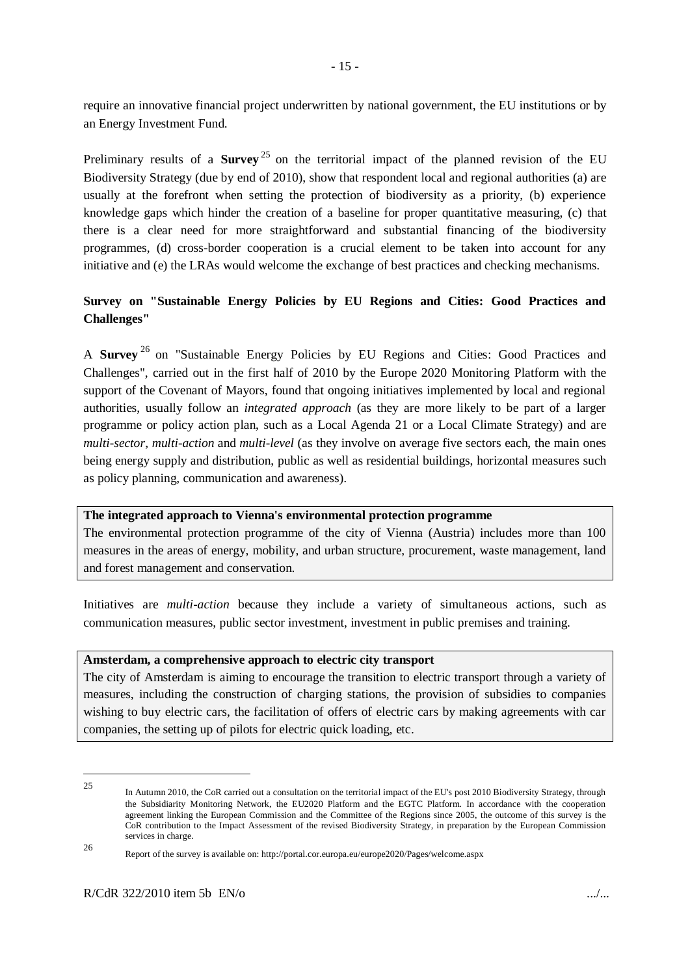require an innovative financial project underwritten by national government, the EU institutions or by an Energy Investment Fund.

Preliminary results of a **Survey**<sup>25</sup> on the territorial impact of the planned revision of the EU Biodiversity Strategy (due by end of 2010), show that respondent local and regional authorities (a) are usually at the forefront when setting the protection of biodiversity as a priority, (b) experience knowledge gaps which hinder the creation of a baseline for proper quantitative measuring, (c) that there is a clear need for more straightforward and substantial financing of the biodiversity programmes, (d) cross-border cooperation is a crucial element to be taken into account for any initiative and (e) the LRAs would welcome the exchange of best practices and checking mechanisms.

## **Survey on "Sustainable Energy Policies by EU Regions and Cities: Good Practices and Challenges"**

A **Survey** <sup>26</sup> on "Sustainable Energy Policies by EU Regions and Cities: Good Practices and Challenges", carried out in the first half of 2010 by the Europe 2020 Monitoring Platform with the support of the Covenant of Mayors, found that ongoing initiatives implemented by local and regional authorities, usually follow an *integrated approach* (as they are more likely to be part of a larger programme or policy action plan, such as a Local Agenda 21 or a Local Climate Strategy) and are *multi-sector*, *multi-action* and *multi-level* (as they involve on average five sectors each, the main ones being energy supply and distribution, public as well as residential buildings, horizontal measures such as policy planning, communication and awareness).

## **The integrated approach to Vienna's environmental protection programme**

The environmental protection programme of the city of Vienna (Austria) includes more than 100 measures in the areas of energy, mobility, and urban structure, procurement, waste management, land and forest management and conservation.

Initiatives are *multi-action* because they include a variety of simultaneous actions, such as communication measures, public sector investment, investment in public premises and training.

#### **Amsterdam, a comprehensive approach to electric city transport**

The city of Amsterdam is aiming to encourage the transition to electric transport through a variety of measures, including the construction of charging stations, the provision of subsidies to companies wishing to buy electric cars, the facilitation of offers of electric cars by making agreements with car companies, the setting up of pilots for electric quick loading, etc.

<sup>25</sup> In Autumn 2010, the CoR carried out a consultation on the territorial impact of the EU's post 2010 Biodiversity Strategy, through the Subsidiarity Monitoring Network, the EU2020 Platform and the EGTC Platform. In accordance with the cooperation agreement linking the European Commission and the Committee of the Regions since 2005, the outcome of this survey is the CoR contribution to the Impact Assessment of the revised Biodiversity Strategy, in preparation by the European Commission services in charge.

<sup>26</sup> Report of the survey is available on: http://portal.cor.europa.eu/europe2020/Pages/welcome.aspx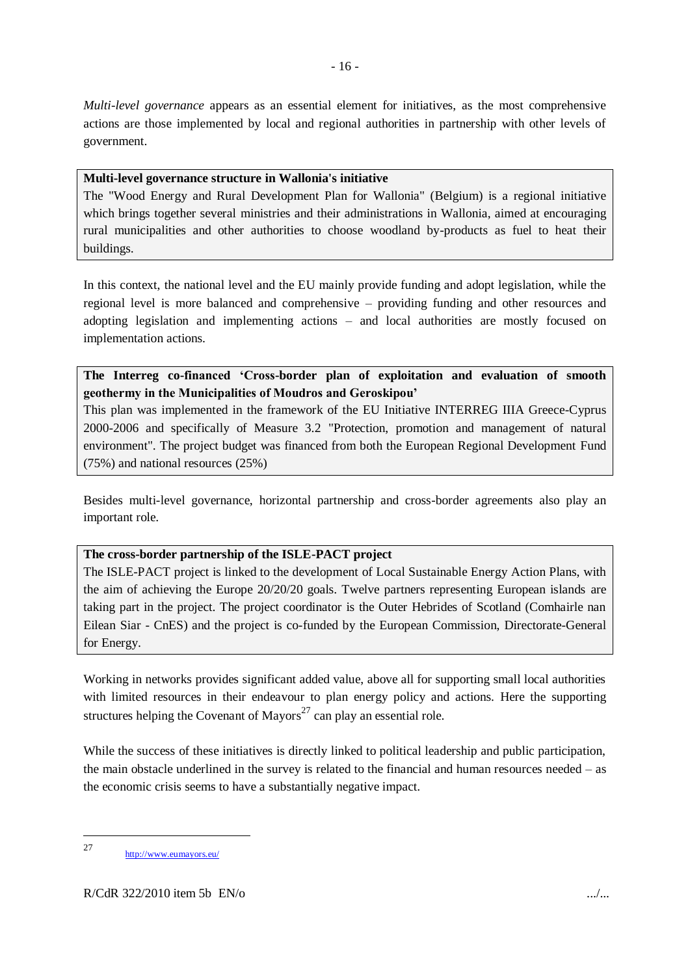*Multi-level governance* appears as an essential element for initiatives, as the most comprehensive actions are those implemented by local and regional authorities in partnership with other levels of government.

#### **Multi-level governance structure in Wallonia's initiative**

The "Wood Energy and Rural Development Plan for Wallonia" (Belgium) is a regional initiative which brings together several ministries and their administrations in Wallonia, aimed at encouraging rural municipalities and other authorities to choose woodland by-products as fuel to heat their buildings.

In this context, the national level and the EU mainly provide funding and adopt legislation, while the regional level is more balanced and comprehensive – providing funding and other resources and adopting legislation and implementing actions – and local authorities are mostly focused on implementation actions.

**The Interreg co-financed 'Cross-border plan of exploitation and evaluation of smooth geothermy in the Municipalities of Moudros and Geroskipou'**

This plan was implemented in the framework of the EU Initiative INTERREG IIIA Greece-Cyprus 2000-2006 and specifically of Measure 3.2 "Protection, promotion and management of natural environment". The project budget was financed from both the European Regional Development Fund (75%) and national resources (25%)

Besides multi-level governance, horizontal partnership and cross-border agreements also play an important role.

## **The cross-border partnership of the ISLE-PACT project**

The ISLE-PACT project is linked to the development of Local Sustainable Energy Action Plans, with the aim of achieving the Europe 20/20/20 goals. Twelve partners representing European islands are taking part in the project. The project coordinator is the Outer Hebrides of Scotland (Comhairle nan Eilean Siar - CnES) and the project is co-funded by the European Commission, Directorate-General for Energy.

Working in networks provides significant added value, above all for supporting small local authorities with limited resources in their endeavour to plan energy policy and actions. Here the supporting structures helping the Covenant of Mayors<sup>27</sup> can play an essential role.

While the success of these initiatives is directly linked to political leadership and public participation, the main obstacle underlined in the survey is related to the financial and human resources needed – as the economic crisis seems to have a substantially negative impact.

 $27$ <http://www.eumayors.eu/>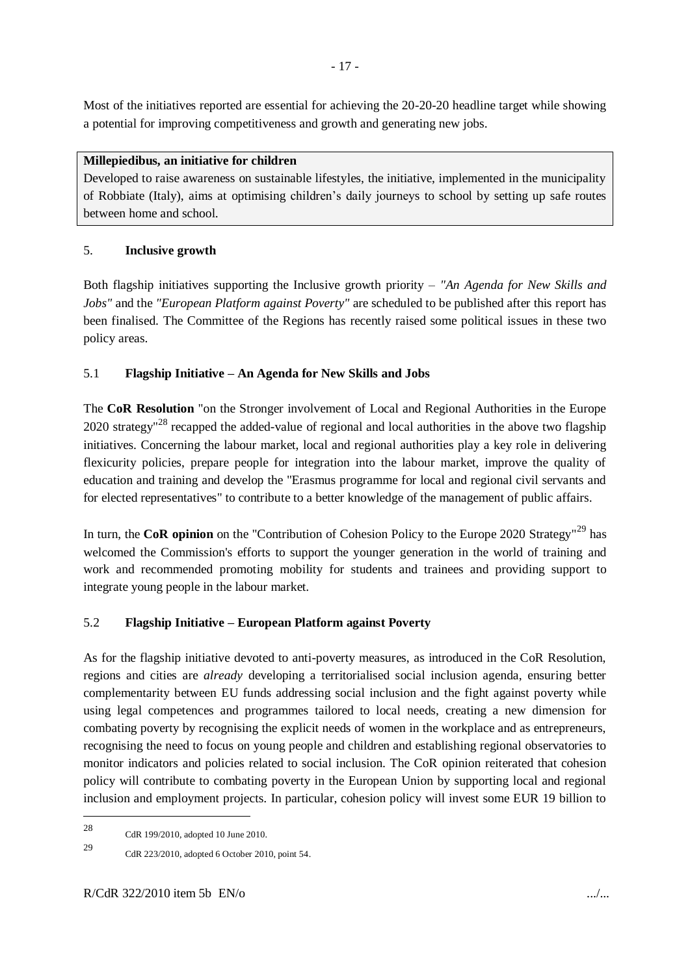Most of the initiatives reported are essential for achieving the 20-20-20 headline target while showing a potential for improving competitiveness and growth and generating new jobs.

## **Millepiedibus, an initiative for children**

Developed to raise awareness on sustainable lifestyles, the initiative, implemented in the municipality of Robbiate (Italy), aims at optimising children's daily journeys to school by setting up safe routes between home and school.

## <span id="page-17-0"></span>5. **Inclusive growth**

Both flagship initiatives supporting the Inclusive growth priority – *"An Agenda for New Skills and Jobs"* and the *"European Platform against Poverty"* are scheduled to be published after this report has been finalised. The Committee of the Regions has recently raised some political issues in these two policy areas.

## <span id="page-17-1"></span>5.1 **Flagship Initiative – An Agenda for New Skills and Jobs**

The **CoR Resolution** "on the Stronger involvement of Local and Regional Authorities in the Europe 2020 strategy<sup>"28</sup> recapped the added-value of regional and local authorities in the above two flagship initiatives. Concerning the labour market, local and regional authorities play a key role in delivering flexicurity policies, prepare people for integration into the labour market, improve the quality of education and training and develop the "Erasmus programme for local and regional civil servants and for elected representatives" to contribute to a better knowledge of the management of public affairs.

In turn, the **CoR opinion** on the "Contribution of Cohesion Policy to the Europe 2020 Strategy"<sup>29</sup> has welcomed the Commission's efforts to support the younger generation in the world of training and work and recommended promoting mobility for students and trainees and providing support to integrate young people in the labour market.

## <span id="page-17-2"></span>5.2 **Flagship Initiative – European Platform against Poverty**

As for the flagship initiative devoted to anti-poverty measures, as introduced in the CoR Resolution, regions and cities are *already* developing a territorialised social inclusion agenda, ensuring better complementarity between EU funds addressing social inclusion and the fight against poverty while using legal competences and programmes tailored to local needs, creating a new dimension for combating poverty by recognising the explicit needs of women in the workplace and as entrepreneurs, recognising the need to focus on young people and children and establishing regional observatories to monitor indicators and policies related to social inclusion. The CoR opinion reiterated that cohesion policy will contribute to combating poverty in the European Union by supporting local and regional inclusion and employment projects. In particular, cohesion policy will invest some EUR 19 billion to

<sup>28</sup> CdR 199/2010, adopted 10 June 2010.

 $29$ CdR 223/2010, adopted 6 October 2010, point 54.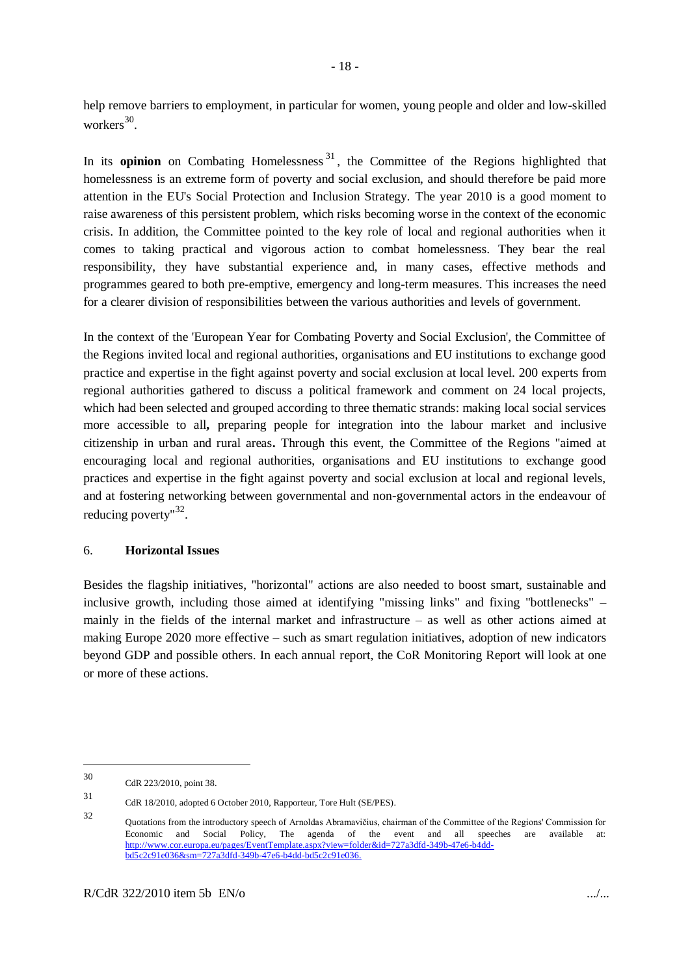help remove barriers to employment, in particular for women, young people and older and low-skilled workers<sup>30</sup>.

In its **opinion** on Combating Homelessness  $31$ , the Committee of the Regions highlighted that homelessness is an extreme form of poverty and social exclusion, and should therefore be paid more attention in the EU's Social Protection and Inclusion Strategy. The year 2010 is a good moment to raise awareness of this persistent problem, which risks becoming worse in the context of the economic crisis. In addition, the Committee pointed to the key role of local and regional authorities when it comes to taking practical and vigorous action to combat homelessness. They bear the real responsibility, they have substantial experience and, in many cases, effective methods and programmes geared to both pre-emptive, emergency and long-term measures. This increases the need for a clearer division of responsibilities between the various authorities and levels of government.

In the context of the 'European Year for Combating Poverty and Social Exclusion', the Committee of the Regions invited local and regional authorities, organisations and EU institutions to exchange good practice and expertise in the fight against poverty and social exclusion at local level. 200 experts from regional authorities gathered to discuss a political framework and comment on 24 local projects, which had been selected and grouped according to three thematic strands: making local social services more accessible to all**,** preparing people for integration into the labour market and inclusive citizenship in urban and rural areas**.** Through this event, the Committee of the Regions "aimed at encouraging local and regional authorities, organisations and EU institutions to exchange good practices and expertise in the fight against poverty and social exclusion at local and regional levels, and at fostering networking between governmental and non-governmental actors in the endeavour of reducing poverty"<sup>32</sup>.

## <span id="page-18-0"></span>6. **Horizontal Issues**

Besides the flagship initiatives, "horizontal" actions are also needed to boost smart, sustainable and inclusive growth, including those aimed at identifying "missing links" and fixing "bottlenecks" – mainly in the fields of the internal market and infrastructure – as well as other actions aimed at making Europe 2020 more effective – such as smart regulation initiatives, adoption of new indicators beyond GDP and possible others. In each annual report, the CoR Monitoring Report will look at one or more of these actions.

<sup>30</sup> CdR 223/2010, point 38.

<sup>31</sup> CdR 18/2010, adopted 6 October 2010, Rapporteur, Tore Hult (SE/PES).

<sup>32</sup> Quotations from the introductory speech of Arnoldas Abramavičius, chairman of the Committee of the Regions' Commission for Economic and Social Policy, The agenda of the event and all speeches are available at: [http://www.cor.europa.eu/pages/EventTemplate.aspx?view=folder&id=727a3dfd-349b-47e6-b4dd](http://www.cor.europa.eu/pages/EventTemplate.aspx?view=folder&id=727a3dfd-349b-47e6-b4dd-bd5c2c91e036&sm=727a3dfd-349b-47e6-b4dd-bd5c2c91e036)[bd5c2c91e036&sm=727a3dfd-349b-47e6-b4dd-bd5c2c91e036.](http://www.cor.europa.eu/pages/EventTemplate.aspx?view=folder&id=727a3dfd-349b-47e6-b4dd-bd5c2c91e036&sm=727a3dfd-349b-47e6-b4dd-bd5c2c91e036)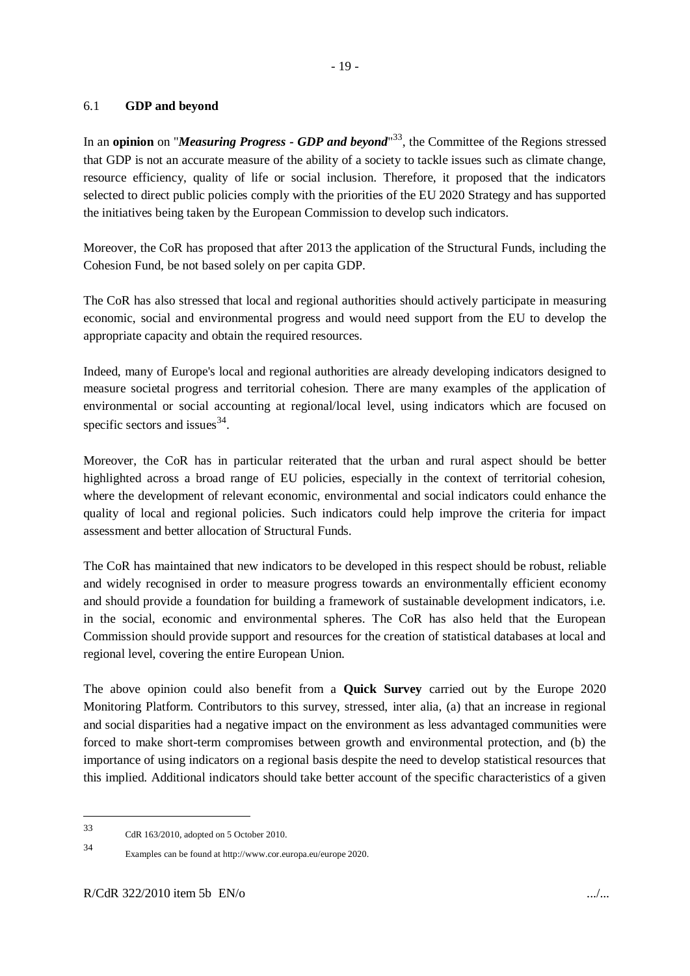#### <span id="page-19-0"></span>6.1 **GDP and beyond**

In an **opinion** on "*Measuring Progress - GDP and beyond*" <sup>33</sup>, the Committee of the Regions stressed that GDP is not an accurate measure of the ability of a society to tackle issues such as climate change, resource efficiency, quality of life or social inclusion. Therefore, it proposed that the indicators selected to direct public policies comply with the priorities of the EU 2020 Strategy and has supported the initiatives being taken by the European Commission to develop such indicators.

Moreover, the CoR has proposed that after 2013 the application of the Structural Funds, including the Cohesion Fund, be not based solely on per capita GDP.

The CoR has also stressed that local and regional authorities should actively participate in measuring economic, social and environmental progress and would need support from the EU to develop the appropriate capacity and obtain the required resources.

Indeed, many of Europe's local and regional authorities are already developing indicators designed to measure societal progress and territorial cohesion. There are many examples of the application of environmental or social accounting at regional/local level, using indicators which are focused on specific sectors and issues  $34$ .

Moreover, the CoR has in particular reiterated that the urban and rural aspect should be better highlighted across a broad range of EU policies, especially in the context of territorial cohesion, where the development of relevant economic, environmental and social indicators could enhance the quality of local and regional policies. Such indicators could help improve the criteria for impact assessment and better allocation of Structural Funds.

The CoR has maintained that new indicators to be developed in this respect should be robust, reliable and widely recognised in order to measure progress towards an environmentally efficient economy and should provide a foundation for building a framework of sustainable development indicators, i.e. in the social, economic and environmental spheres. The CoR has also held that the European Commission should provide support and resources for the creation of statistical databases at local and regional level, covering the entire European Union.

The above opinion could also benefit from a **Quick Survey** carried out by the Europe 2020 Monitoring Platform. Contributors to this survey, stressed, inter alia, (a) that an increase in regional and social disparities had a negative impact on the environment as less advantaged communities were forced to make short-term compromises between growth and environmental protection, and (b) the importance of using indicators on a regional basis despite the need to develop statistical resources that this implied. Additional indicators should take better account of the specific characteristics of a given

<sup>33</sup> CdR 163/2010, adopted on 5 October 2010.

<sup>34</sup> Examples can be found at http://www.cor.europa.eu/europe 2020.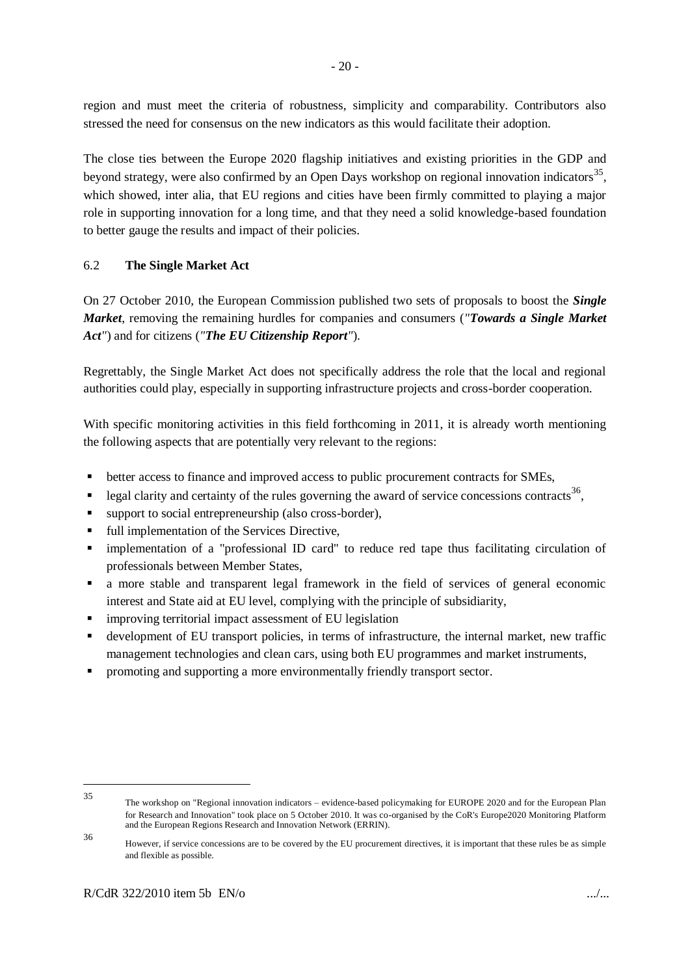region and must meet the criteria of robustness, simplicity and comparability. Contributors also stressed the need for consensus on the new indicators as this would facilitate their adoption.

The close ties between the Europe 2020 flagship initiatives and existing priorities in the GDP and beyond strategy, were also confirmed by an Open Days workshop on regional innovation indicators<sup>35</sup>, which showed, inter alia, that EU regions and cities have been firmly committed to playing a major role in supporting innovation for a long time, and that they need a solid knowledge-based foundation to better gauge the results and impact of their policies.

## <span id="page-20-0"></span>6.2 **The Single Market Act**

On 27 October 2010, the European Commission published two sets of proposals to boost the *Single Market*, removing the remaining hurdles for companies and consumers (*"Towards a Single Market Act"*) and for citizens (*"The EU Citizenship Report"*).

Regrettably, the Single Market Act does not specifically address the role that the local and regional authorities could play, especially in supporting infrastructure projects and cross-border cooperation.

With specific monitoring activities in this field forthcoming in 2011, it is already worth mentioning the following aspects that are potentially very relevant to the regions:

- **•** better access to finance and improved access to public procurement contracts for SMEs,
- legal clarity and certainty of the rules governing the award of service concessions contracts<sup>36</sup>,
- support to social entrepreneurship (also cross-border),
- full implementation of the Services Directive,
- implementation of a "professional ID card" to reduce red tape thus facilitating circulation of professionals between Member States,
- a more stable and transparent legal framework in the field of services of general economic interest and State aid at EU level, complying with the principle of subsidiarity,
- improving territorial impact assessment of EU legislation
- development of EU transport policies, in terms of infrastructure, the internal market, new traffic management technologies and clean cars, using both EU programmes and market instruments,
- promoting and supporting a more environmentally friendly transport sector.

<sup>35</sup> The workshop on "Regional innovation indicators – evidence-based policymaking for EUROPE 2020 and for the European Plan for Research and Innovation" took place on 5 October 2010. It was co-organised by the CoR's Europe2020 Monitoring Platform and the European Regions Research and Innovation Network (ERRIN).

<sup>36</sup> However, if service concessions are to be covered by the EU procurement directives, it is important that these rules be as simple and flexible as possible.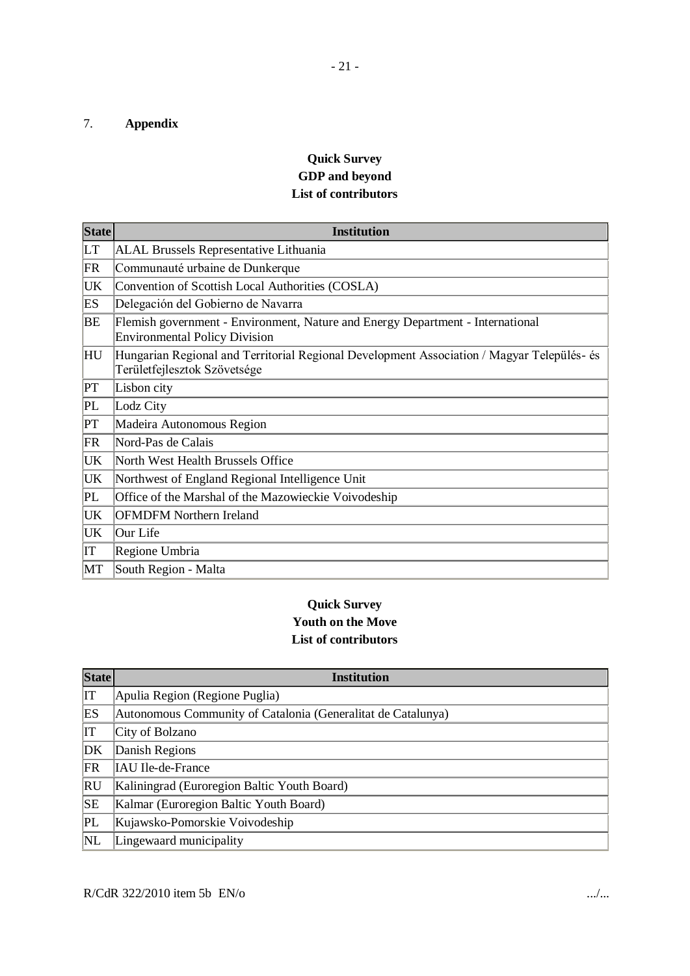# <span id="page-21-0"></span>7. **Appendix**

## **Quick Survey GDP and beyond List of contributors**

| <b>State</b> | <b>Institution</b>                                                                                                         |
|--------------|----------------------------------------------------------------------------------------------------------------------------|
| <b>LT</b>    | <b>ALAL Brussels Representative Lithuania</b>                                                                              |
| FR           | Communauté urbaine de Dunkerque                                                                                            |
| UK           | Convention of Scottish Local Authorities (COSLA)                                                                           |
| ES           | Delegación del Gobierno de Navarra                                                                                         |
| BE           | Flemish government - Environment, Nature and Energy Department - International<br><b>Environmental Policy Division</b>     |
| HU           | Hungarian Regional and Territorial Regional Development Association / Magyar Település- és<br>Területfejlesztok Szövetsége |
| PT           | Lisbon city                                                                                                                |
| PL           | Lodz City                                                                                                                  |
| PT           | Madeira Autonomous Region                                                                                                  |
| FR           | Nord-Pas de Calais                                                                                                         |
| UK           | North West Health Brussels Office                                                                                          |
| UK           | Northwest of England Regional Intelligence Unit                                                                            |
| PL           | Office of the Marshal of the Mazowieckie Voivodeship                                                                       |
| UK           | <b>OFMDFM Northern Ireland</b>                                                                                             |
| UK           | Our Life                                                                                                                   |
| IT           | Regione Umbria                                                                                                             |
| MT           | South Region - Malta                                                                                                       |

# **Quick Survey Youth on the Move List of contributors**

| <b>State</b> | <b>Institution</b>                                           |
|--------------|--------------------------------------------------------------|
| IT           | Apulia Region (Regione Puglia)                               |
| ES           | Autonomous Community of Catalonia (Generalitat de Catalunya) |
| <b>IT</b>    | City of Bolzano                                              |
| DK           | Danish Regions                                               |
| FR           | <b>IAU</b> Ile-de-France                                     |
| <b>RU</b>    | Kaliningrad (Euroregion Baltic Youth Board)                  |
| <b>SE</b>    | Kalmar (Euroregion Baltic Youth Board)                       |
| PL           | Kujawsko-Pomorskie Voivodeship                               |
| <b>NL</b>    | Lingewaard municipality                                      |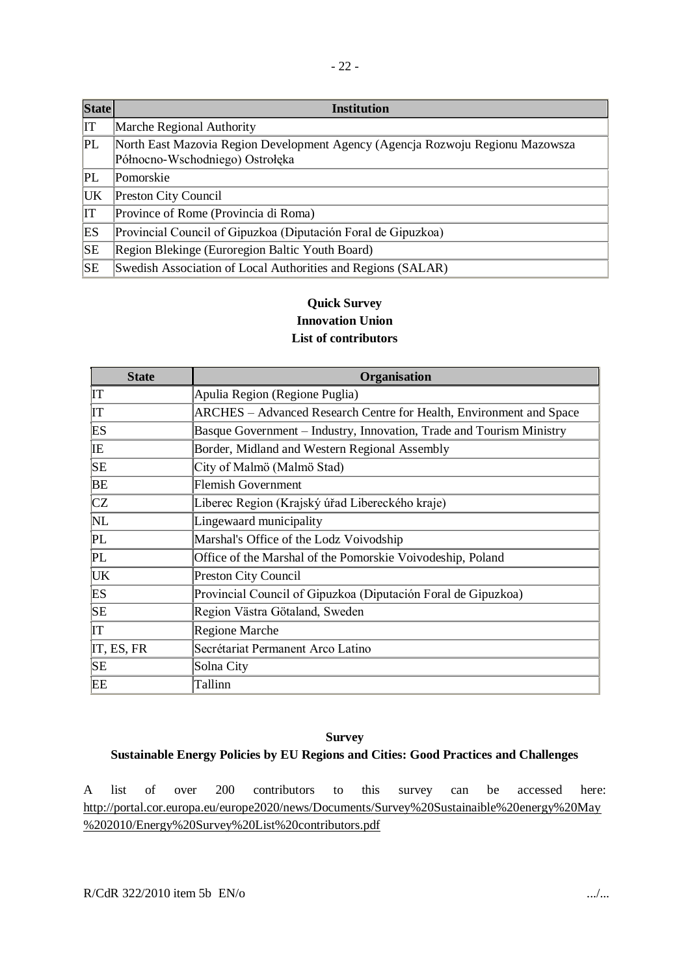| <b>State</b> | <b>Institution</b>                                                                                                |
|--------------|-------------------------------------------------------------------------------------------------------------------|
| IT           | Marche Regional Authority                                                                                         |
| PL           | North East Mazovia Region Development Agency (Agencja Rozwoju Regionu Mazowsza<br>Północno-Wschodniego) Ostrołęka |
| PL           | Pomorskie                                                                                                         |
| UK           | <b>Preston City Council</b>                                                                                       |
| IT           | Province of Rome (Provincia di Roma)                                                                              |
| ES           | Provincial Council of Gipuzkoa (Diputación Foral de Gipuzkoa)                                                     |
| <b>SE</b>    | Region Blekinge (Euroregion Baltic Youth Board)                                                                   |
| <b>SE</b>    | Swedish Association of Local Authorities and Regions (SALAR)                                                      |

# **Quick Survey Innovation Union List of contributors**

| <b>State</b>           | Organisation                                                         |
|------------------------|----------------------------------------------------------------------|
| IT                     | Apulia Region (Regione Puglia)                                       |
| IT                     | ARCHES – Advanced Research Centre for Health, Environment and Space  |
| ES                     | Basque Government – Industry, Innovation, Trade and Tourism Ministry |
| IE                     | Border, Midland and Western Regional Assembly                        |
| <b>SE</b>              | City of Malmö (Malmö Stad)                                           |
| BE                     | <b>Flemish Government</b>                                            |
| CZ                     | Liberec Region (Krajský úřad Libereckého kraje)                      |
| $\overline{\text{NL}}$ | Lingewaard municipality                                              |
| PL                     | Marshal's Office of the Lodz Voivodship                              |
| PL                     | Office of the Marshal of the Pomorskie Voivodeship, Poland           |
| UK <sub></sub>         | <b>Preston City Council</b>                                          |
| <b>ES</b>              | Provincial Council of Gipuzkoa (Diputación Foral de Gipuzkoa)        |
| SE                     | Region Västra Götaland, Sweden                                       |
| IT                     | <b>Regione Marche</b>                                                |
| IT, ES, FR             | Secrétariat Permanent Arco Latino                                    |
| <b>SE</b>              | Solna City                                                           |
| EE                     | Tallinn                                                              |

## **Survey**

## **Sustainable Energy Policies by EU Regions and Cities: Good Practices and Challenges**

A list of over 200 contributors to this survey can be accessed here: [http://portal.cor.europa.eu/europe2020/news/Documents/Survey%20Sustainaible%20energy%20May](http://portal.cor.europa.eu/europe2020/news/Documents/Survey%20Sustainaible%20energy%20May%202010/Energy%20Survey%20List%20contributors.pdf) [%202010/Energy%20Survey%20List%20contributors.pdf](http://portal.cor.europa.eu/europe2020/news/Documents/Survey%20Sustainaible%20energy%20May%202010/Energy%20Survey%20List%20contributors.pdf)